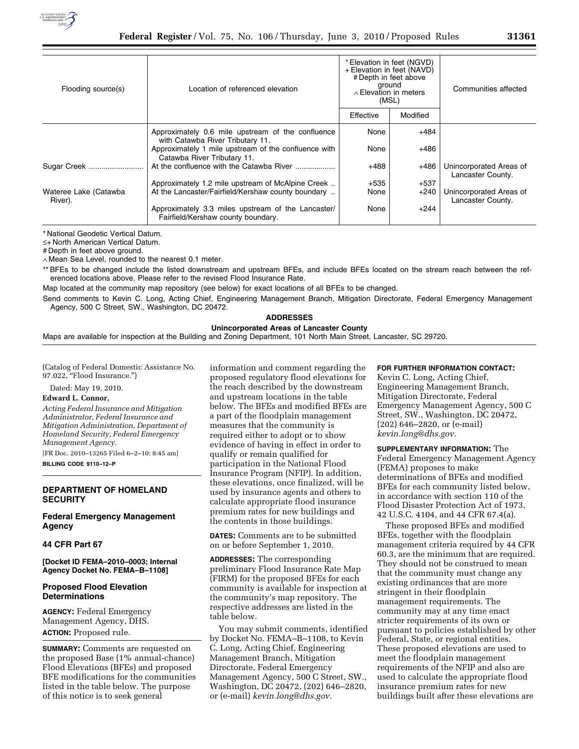

| Flooding source(s)               | Location of referenced elevation                                                         | * Elevation in feet (NGVD)<br>+ Elevation in feet (NAVD)<br># Depth in feet above<br>ground<br>$\land$ Elevation in meters<br>(MSL) |          | Communities affected                         |
|----------------------------------|------------------------------------------------------------------------------------------|-------------------------------------------------------------------------------------------------------------------------------------|----------|----------------------------------------------|
|                                  |                                                                                          | Effective                                                                                                                           | Modified |                                              |
|                                  | Approximately 0.6 mile upstream of the confluence<br>with Catawba River Tributary 11.    | None                                                                                                                                | +484     |                                              |
|                                  | Approximately 1 mile upstream of the confluence with<br>Catawba River Tributary 11.      | None                                                                                                                                | $+486$   |                                              |
| Sugar Creek                      | At the confluence with the Catawba River                                                 | $+488$                                                                                                                              | $+486$   | Unincorporated Areas of<br>Lancaster County. |
|                                  | Approximately 1.2 mile upstream of McAlpine Creek                                        | $+535$                                                                                                                              | $+537$   |                                              |
| Wateree Lake (Catawba<br>River). | At the Lancaster/Fairfield/Kershaw county boundary                                       | None                                                                                                                                | $+240$   | Unincorporated Areas of<br>Lancaster County. |
|                                  | Approximately 3.3 miles upstream of the Lancaster/<br>Fairfield/Kershaw county boundary. | None                                                                                                                                | $+244$   |                                              |

≤+ North American Vertical Datum.

# Depth in feet above ground.

∧ Mean Sea Level, rounded to the nearest 0.1 meter.

\*\* BFEs to be changed include the listed downstream and upstream BFEs, and include BFEs located on the stream reach between the referenced locations above. Please refer to the revised Flood Insurance Rate.

Map located at the community map repository (see below) for exact locations of all BFEs to be changed.

Send comments to Kevin C. Long, Acting Chief, Engineering Management Branch, Mitigation Directorate, Federal Emergency Management Agency, 500 C Street, SW., Washington, DC 20472.

# **ADDRESSES**

**Unincorporated Areas of Lancaster County** 

Maps are available for inspection at the Building and Zoning Department, 101 North Main Street, Lancaster, SC 29720.

(Catalog of Federal Domestic Assistance No. 97.022, "Flood Insurance.")

# Dated: May 19, 2010.

# **Edward L. Connor,**

*Acting Federal Insurance and Mitigation Administrator, Federal Insurance and Mitigation Administration, Department of Homeland Security, Federal Emergency Management Agency.* 

[FR Doc. 2010–13265 Filed 6–2–10; 8:45 am] **BILLING CODE 9110–12–P** 

### **DEPARTMENT OF HOMELAND SECURITY**

# **Federal Emergency Management Agency**

# **44 CFR Part 67**

**[Docket ID FEMA–2010–0003; Internal Agency Docket No. FEMA–B–1108]** 

# **Proposed Flood Elevation Determinations**

**AGENCY:** Federal Emergency Management Agency, DHS. **ACTION:** Proposed rule.

**SUMMARY:** Comments are requested on the proposed Base (1% annual-chance) Flood Elevations (BFEs) and proposed BFE modifications for the communities listed in the table below. The purpose of this notice is to seek general

information and comment regarding the proposed regulatory flood elevations for the reach described by the downstream and upstream locations in the table below. The BFEs and modified BFEs are a part of the floodplain management measures that the community is required either to adopt or to show evidence of having in effect in order to qualify or remain qualified for participation in the National Flood Insurance Program (NFIP). In addition, these elevations, once finalized, will be used by insurance agents and others to calculate appropriate flood insurance premium rates for new buildings and the contents in those buildings.

**DATES:** Comments are to be submitted on or before September 1, 2010.

**ADDRESSES:** The corresponding preliminary Flood Insurance Rate Map (FIRM) for the proposed BFEs for each community is available for inspection at the community's map repository. The respective addresses are listed in the table below.

You may submit comments, identified by Docket No. FEMA–B–1108, to Kevin C. Long, Acting Chief, Engineering Management Branch, Mitigation Directorate, Federal Emergency Management Agency, 500 C Street, SW., Washington, DC 20472, (202) 646–2820, or (e-mail) *kevin.long@dhs.gov.* 

# **FOR FURTHER INFORMATION CONTACT:**

Kevin C. Long, Acting Chief, Engineering Management Branch, Mitigation Directorate, Federal Emergency Management Agency, 500 C Street, SW., Washington, DC 20472, (202) 646–2820, or (e-mail) *kevin.long@dhs.gov.* 

**SUPPLEMENTARY INFORMATION:** The Federal Emergency Management Agency (FEMA) proposes to make determinations of BFEs and modified BFEs for each community listed below, in accordance with section 110 of the Flood Disaster Protection Act of 1973, 42 U.S.C. 4104, and 44 CFR 67.4(a).

These proposed BFEs and modified BFEs, together with the floodplain management criteria required by 44 CFR 60.3, are the minimum that are required. They should not be construed to mean that the community must change any existing ordinances that are more stringent in their floodplain management requirements. The community may at any time enact stricter requirements of its own or pursuant to policies established by other Federal, State, or regional entities. These proposed elevations are used to meet the floodplain management requirements of the NFIP and also are used to calculate the appropriate flood insurance premium rates for new buildings built after these elevations are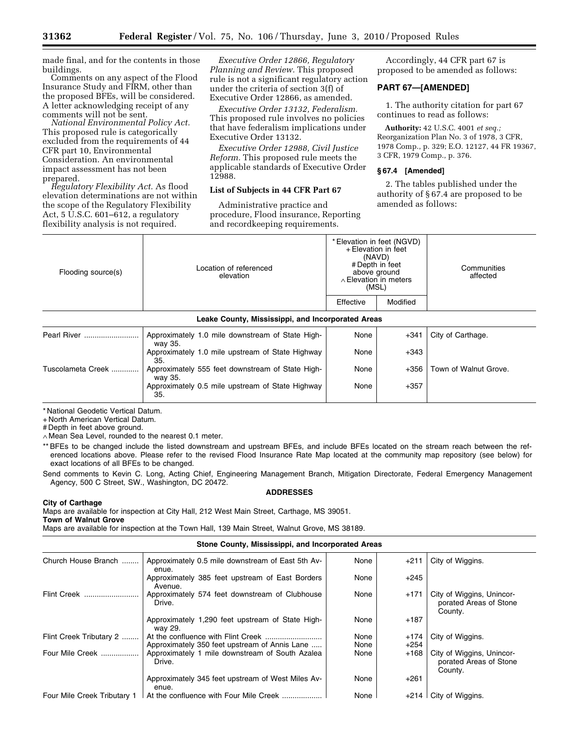made final, and for the contents in those

Comments on any aspect of the Flood Insurance Study and FIRM, other than the proposed BFEs, will be considered. A letter acknowledging receipt of any comments will not be sent.

*National Environmental Policy Act.*  This proposed rule is categorically excluded from the requirements of 44 CFR part 10, Environmental Consideration. An environmental impact assessment has not been

prepared. *Regulatory Flexibility Act.* As flood elevation determinations are not within the scope of the Regulatory Flexibility Act, 5 U.S.C. 601–612, a regulatory flexibility analysis is not required.

*Executive Order 12866, Regulatory Planning and Review.* This proposed rule is not a significant regulatory action under the criteria of section 3(f) of Executive Order 12866, as amended.

*Executive Order 13132, Federalism.*  This proposed rule involves no policies that have federalism implications under Executive Order 13132.

*Executive Order 12988, Civil Justice Reform.* This proposed rule meets the applicable standards of Executive Order 12988.

# **List of Subjects in 44 CFR Part 67**

Administrative practice and procedure, Flood insurance, Reporting and recordkeeping requirements.

Accordingly, 44 CFR part 67 is proposed to be amended as follows:

# **PART 67—[AMENDED]**

1. The authority citation for part 67 continues to read as follows:

**Authority:** 42 U.S.C. 4001 *et seq.;*  Reorganization Plan No. 3 of 1978, 3 CFR, 1978 Comp., p. 329; E.O. 12127, 44 FR 19367, 3 CFR, 1979 Comp., p. 376.

### **§ 67.4 [Amended]**

2. The tables published under the authority of § 67.4 are proposed to be amended as follows:

| Flooding source(s)       | Location of referenced<br>elevation                         | * Elevation in feet (NGVD)<br>+ Elevation in feet<br>(NAVD)<br># Depth in feet<br>above ground<br>$\wedge$ Elevation in meters<br>(MSL) |          | Communities<br>affected |
|--------------------------|-------------------------------------------------------------|-----------------------------------------------------------------------------------------------------------------------------------------|----------|-------------------------|
|                          |                                                             | Effective                                                                                                                               | Modified |                         |
|                          | Leake County, Mississippi, and Incorporated Areas           |                                                                                                                                         |          |                         |
| Pearl River              | Approximately 1.0 mile downstream of State High-<br>way 35. | None                                                                                                                                    | $+341$   | City of Carthage.       |
|                          | Approximately 1.0 mile upstream of State Highway<br>35.     | None                                                                                                                                    | +343     |                         |
| <b>Tuscolameta Creek</b> | Approximately 555 feet downstream of State High-<br>way 35. | None                                                                                                                                    | $+356$   | Town of Walnut Grove.   |
|                          | Approximately 0.5 mile upstream of State Highway<br>35      | None                                                                                                                                    | $+357$   |                         |

\* National Geodetic Vertical Datum.

+ North American Vertical Datum.

# Depth in feet above ground.

∧ Mean Sea Level, rounded to the nearest 0.1 meter.

\*\* BFEs to be changed include the listed downstream and upstream BFEs, and include BFEs located on the stream reach between the referenced locations above. Please refer to the revised Flood Insurance Rate Map located at the community map repository (see below) for exact locations of all BFEs to be changed.

Send comments to Kevin C. Long, Acting Chief, Engineering Management Branch, Mitigation Directorate, Federal Emergency Management Agency, 500 C Street, SW., Washington, DC 20472.

### **ADDRESSES**

#### **City of Carthage**

Maps are available for inspection at City Hall, 212 West Main Street, Carthage, MS 39051. **Town of Walnut Grove** 

Maps are available for inspection at the Town Hall, 139 Main Street, Walnut Grove, MS 38189.

# **Stone County, Mississippi, and Incorporated Areas**

| Church House Branch         | Approximately 0.5 mile downstream of East 5th Av-<br>enue.  | None         | $+211$         | City of Wiggins.                                               |
|-----------------------------|-------------------------------------------------------------|--------------|----------------|----------------------------------------------------------------|
|                             | Approximately 385 feet upstream of East Borders<br>Avenue.  | None         | $+245$         |                                                                |
| Flint Creek                 | Approximately 574 feet downstream of Clubhouse<br>Drive.    | None         | $+171$         | City of Wiggins, Unincor-<br>porated Areas of Stone<br>County. |
|                             | Approximately 1,290 feet upstream of State High-<br>wav 29. | None         | $+187$         |                                                                |
| Flint Creek Tributary 2     | Approximately 350 feet upstream of Annis Lane               | None<br>None | +174<br>$+254$ | City of Wiggins.                                               |
| Four Mile Creek             | Approximately 1 mile downstream of South Azalea<br>Drive.   | None         | $+168$         | City of Wiggins, Unincor-<br>porated Areas of Stone<br>County. |
|                             | Approximately 345 feet upstream of West Miles Av-<br>enue.  | None         | $+261$         |                                                                |
| Four Mile Creek Tributary 1 | At the confluence with Four Mile Creek                      | None         | $+214$         | City of Wiggins.                                               |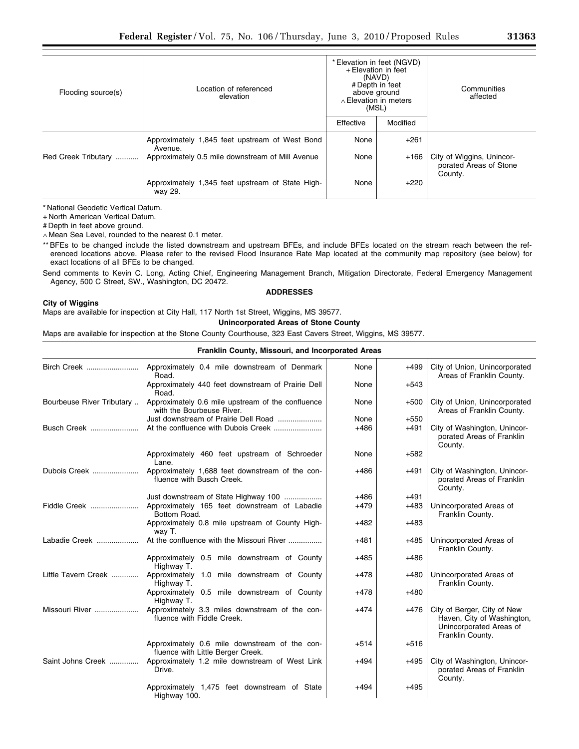| Flooding source(s)  | Location of referenced<br>elevation                         | * Elevation in feet (NGVD)<br>+ Elevation in feet<br>(NAVD)<br># Depth in feet<br>above ground<br>$\land$ Elevation in meters<br>(MSL) |          | Communities<br>affected                             |
|---------------------|-------------------------------------------------------------|----------------------------------------------------------------------------------------------------------------------------------------|----------|-----------------------------------------------------|
|                     |                                                             | Effective                                                                                                                              | Modified |                                                     |
|                     | Approximately 1,845 feet upstream of West Bond<br>Avenue.   | None                                                                                                                                   | $+261$   |                                                     |
| Red Creek Tributary | Approximately 0.5 mile downstream of Mill Avenue            | None                                                                                                                                   | $+166$   | City of Wiggins, Unincor-<br>porated Areas of Stone |
|                     | Approximately 1,345 feet upstream of State High-<br>way 29. | None                                                                                                                                   | $+220$   | County.                                             |

+ North American Vertical Datum.

# Depth in feet above ground.

∧ Mean Sea Level, rounded to the nearest 0.1 meter.

\*\* BFEs to be changed include the listed downstream and upstream BFEs, and include BFEs located on the stream reach between the referenced locations above. Please refer to the revised Flood Insurance Rate Map located at the community map repository (see below) for exact locations of all BFEs to be changed.

Send comments to Kevin C. Long, Acting Chief, Engineering Management Branch, Mitigation Directorate, Federal Emergency Management Agency, 500 C Street, SW., Washington, DC 20472.

#### **ADDRESSES**

### **City of Wiggins**

Maps are available for inspection at City Hall, 117 North 1st Street, Wiggins, MS 39577.

**Unincorporated Areas of Stone County** 

Maps are available for inspection at the Stone County Courthouse, 323 East Cavers Street, Wiggins, MS 39577.

Highway 100.

| Franklin County, Missouri, and Incorporated Areas |                                                                                    |        |        |                                                                                                          |
|---------------------------------------------------|------------------------------------------------------------------------------------|--------|--------|----------------------------------------------------------------------------------------------------------|
| Birch Creek                                       | Approximately 0.4 mile downstream of Denmark<br>Road.                              | None   | $+499$ | City of Union, Unincorporated<br>Areas of Franklin County.                                               |
|                                                   | Approximately 440 feet downstream of Prairie Dell<br>Road.                         | None   | $+543$ |                                                                                                          |
| Bourbeuse River Tributary                         | Approximately 0.6 mile upstream of the confluence<br>with the Bourbeuse River.     | None   | $+500$ | City of Union, Unincorporated<br>Areas of Franklin County.                                               |
|                                                   | Just downstream of Prairie Dell Road                                               | None   | $+550$ |                                                                                                          |
| <b>Busch Creek</b>                                |                                                                                    | $+486$ | $+491$ | City of Washington, Unincor-<br>porated Areas of Franklin<br>County.                                     |
|                                                   | Approximately 460 feet upstream of Schroeder<br>Lane.                              | None   | $+582$ |                                                                                                          |
| Dubois Creek                                      | Approximately 1,688 feet downstream of the con-<br>fluence with Busch Creek.       | $+486$ | $+491$ | City of Washington, Unincor-<br>porated Areas of Franklin<br>County.                                     |
|                                                   | Just downstream of State Highway 100                                               | $+486$ | $+491$ |                                                                                                          |
| Fiddle Creek                                      | Approximately 165 feet downstream of Labadie<br>Bottom Road.                       | $+479$ | $+483$ | Unincorporated Areas of<br>Franklin County.                                                              |
|                                                   | Approximately 0.8 mile upstream of County High-<br>way T.                          | $+482$ | $+483$ |                                                                                                          |
| Labadie Creek                                     | At the confluence with the Missouri River                                          | $+481$ | $+485$ | Unincorporated Areas of<br>Franklin County.                                                              |
|                                                   | Approximately 0.5 mile downstream of County<br>Highway T.                          | $+485$ | $+486$ |                                                                                                          |
| Little Tavern Creek                               | Approximately 1.0 mile downstream of County<br>Highway T.                          | $+478$ | $+480$ | Unincorporated Areas of<br>Franklin County.                                                              |
|                                                   | Approximately 0.5 mile downstream of County<br>Highway T.                          | $+478$ | $+480$ |                                                                                                          |
| Missouri River                                    | Approximately 3.3 miles downstream of the con-<br>fluence with Fiddle Creek.       | $+474$ | $+476$ | City of Berger, City of New<br>Haven, City of Washington,<br>Unincorporated Areas of<br>Franklin County. |
|                                                   | Approximately 0.6 mile downstream of the con-<br>fluence with Little Berger Creek. | $+514$ | $+516$ |                                                                                                          |
| Saint Johns Creek                                 | Approximately 1.2 mile downstream of West Link<br>Drive.                           | $+494$ | $+495$ | City of Washington, Unincor-<br>porated Areas of Franklin<br>County.                                     |
|                                                   | Approximately 1,475 feet downstream of State<br>Highway 100                        | $+494$ | $+495$ |                                                                                                          |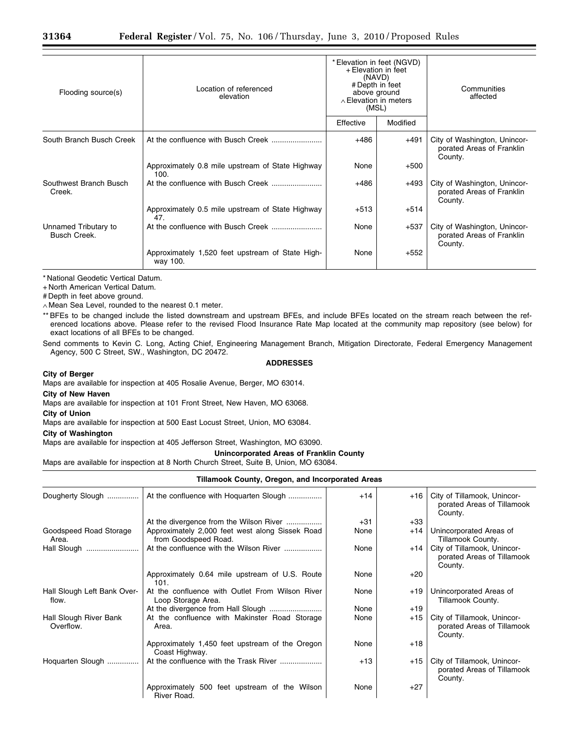| Flooding source(s)                   | Location of referenced<br>elevation                          | * Elevation in feet (NGVD)<br>+ Elevation in feet<br>(NAVD)<br># Depth in feet<br>above ground<br>$\wedge$ Elevation in meters<br>(MSL) |          | Communities<br>affected                                              |
|--------------------------------------|--------------------------------------------------------------|-----------------------------------------------------------------------------------------------------------------------------------------|----------|----------------------------------------------------------------------|
|                                      |                                                              | Effective                                                                                                                               | Modified |                                                                      |
| South Branch Busch Creek             |                                                              | $+486$                                                                                                                                  | $+491$   | City of Washington, Unincor-<br>porated Areas of Franklin<br>County. |
|                                      | Approximately 0.8 mile upstream of State Highway<br>100.     | None                                                                                                                                    | $+500$   |                                                                      |
| Southwest Branch Busch<br>Creek.     |                                                              | $+486$                                                                                                                                  | +493     | City of Washington, Unincor-<br>porated Areas of Franklin<br>County. |
|                                      | Approximately 0.5 mile upstream of State Highway<br>47.      | $+513$                                                                                                                                  | $+514$   |                                                                      |
| Unnamed Tributary to<br>Busch Creek. |                                                              | None                                                                                                                                    | +537     | City of Washington, Unincor-<br>porated Areas of Franklin<br>County. |
|                                      | Approximately 1,520 feet upstream of State High-<br>way 100. | None                                                                                                                                    | $+552$   |                                                                      |

+ North American Vertical Datum.

# Depth in feet above ground.

∧ Mean Sea Level, rounded to the nearest 0.1 meter.

\*\* BFEs to be changed include the listed downstream and upstream BFEs, and include BFEs located on the stream reach between the referenced locations above. Please refer to the revised Flood Insurance Rate Map located at the community map repository (see below) for exact locations of all BFEs to be changed.

Send comments to Kevin C. Long, Acting Chief, Engineering Management Branch, Mitigation Directorate, Federal Emergency Management Agency, 500 C Street, SW., Washington, DC 20472.

# **ADDRESSES**

#### **City of Berger**

Maps are available for inspection at 405 Rosalie Avenue, Berger, MO 63014.

**City of New Haven** 

Maps are available for inspection at 101 Front Street, New Haven, MO 63068.

**City of Union** 

Maps are available for inspection at 500 East Locust Street, Union, MO 63084.

### **City of Washington**

Maps are available for inspection at 405 Jefferson Street, Washington, MO 63090.

**Unincorporated Areas of Franklin County** 

Maps are available for inspection at 8 North Church Street, Suite B, Union, MO 63084.

# **Tillamook County, Oregon, and Incorporated Areas**

| Dougherty Slough                     | At the confluence with Hoquarten Slough                                 | $+14$ | $+16$ | City of Tillamook, Unincor-<br>porated Areas of Tillamook<br>County. |
|--------------------------------------|-------------------------------------------------------------------------|-------|-------|----------------------------------------------------------------------|
|                                      | At the divergence from the Wilson River                                 | $+31$ | $+33$ |                                                                      |
| Goodspeed Road Storage<br>Area.      | Approximately 2,000 feet west along Sissek Road<br>from Goodspeed Road. | None  | $+14$ | Unincorporated Areas of<br>Tillamook County.                         |
| Hall Slough                          | At the confluence with the Wilson River                                 | None  | $+14$ | City of Tillamook, Unincor-<br>porated Areas of Tillamook<br>County. |
|                                      | Approximately 0.64 mile upstream of U.S. Route<br>101.                  | None  | $+20$ |                                                                      |
| Hall Slough Left Bank Over-<br>flow. | At the confluence with Outlet From Wilson River<br>Loop Storage Area.   | None  | +19   | Unincorporated Areas of<br>Tillamook County.                         |
|                                      |                                                                         | None  | $+19$ |                                                                      |
| Hall Slough River Bank<br>Overflow.  | At the confluence with Makinster Road Storage<br>Area.                  | None  | $+15$ | City of Tillamook, Unincor-<br>porated Areas of Tillamook<br>County. |
|                                      | Approximately 1,450 feet upstream of the Oregon<br>Coast Highway.       | None  | $+18$ |                                                                      |
| Hoquarten Slough                     | At the confluence with the Trask River                                  | $+13$ | $+15$ | City of Tillamook, Unincor-<br>porated Areas of Tillamook<br>County. |
|                                      | Approximately 500 feet upstream of the Wilson<br>River Road.            | None  | $+27$ |                                                                      |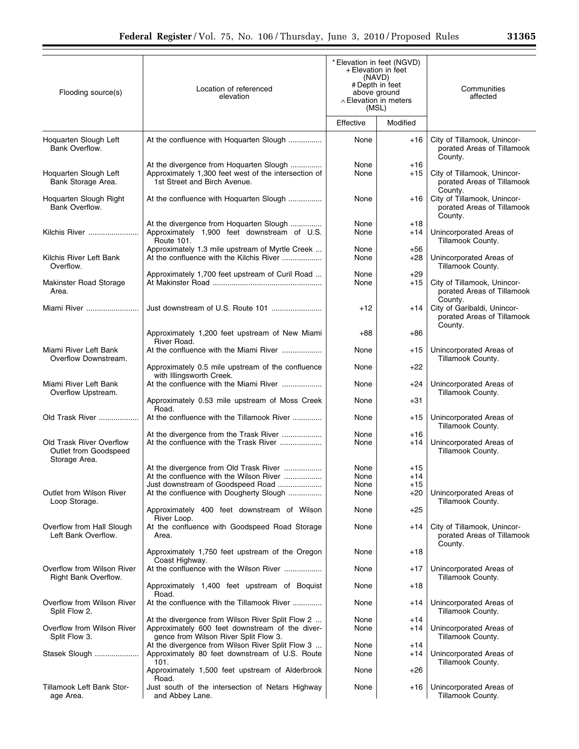| Flooding source(s)                                 | Location of referenced<br>elevation                                                                                                          | * Elevation in feet (NGVD)<br>+ Elevation in feet<br>(NAVD)<br># Depth in feet<br>above ground<br>$\wedge$ Elevation in meters<br>(MSL)<br>Effective<br>Modified |                | Communities<br>affected                                                         |  |
|----------------------------------------------------|----------------------------------------------------------------------------------------------------------------------------------------------|------------------------------------------------------------------------------------------------------------------------------------------------------------------|----------------|---------------------------------------------------------------------------------|--|
|                                                    |                                                                                                                                              |                                                                                                                                                                  |                |                                                                                 |  |
| Hoquarten Slough Left<br>Bank Overflow.            | At the confluence with Hoquarten Slough                                                                                                      | None                                                                                                                                                             | $+16$          | City of Tillamook, Unincor-<br>porated Areas of Tillamook<br>County.            |  |
| Hoquarten Slough Left<br>Bank Storage Area.        | At the divergence from Hoquarten Slough<br>Approximately 1,300 feet west of the intersection of<br>1st Street and Birch Avenue.              | None<br>None                                                                                                                                                     | $+16$<br>$+15$ | City of Tillamook, Unincor-<br>porated Areas of Tillamook                       |  |
| Hoquarten Slough Right<br>Bank Overflow.           | At the confluence with Hoquarten Slough                                                                                                      | None                                                                                                                                                             | +16            | Countv.<br>City of Tillamook, Unincor-<br>porated Areas of Tillamook<br>County. |  |
| Kilchis River                                      | At the divergence from Hoquarten Slough<br>Approximately 1,900 feet downstream of U.S.<br>Route 101.                                         | None<br>None                                                                                                                                                     | $+18$<br>$+14$ | Unincorporated Areas of<br>Tillamook County.                                    |  |
| Kilchis River Left Bank<br>Overflow.               | Approximately 1.3 mile upstream of Myrtle Creek<br>At the confluence with the Kilchis River                                                  | None<br>None                                                                                                                                                     | $+56$<br>$+28$ | Unincorporated Areas of<br>Tillamook County.                                    |  |
| Makinster Road Storage<br>Area.                    | Approximately 1,700 feet upstream of Curil Road                                                                                              | None<br>None                                                                                                                                                     | $+29$<br>$+15$ | City of Tillamook, Unincor-<br>porated Areas of Tillamook                       |  |
| Miami River                                        |                                                                                                                                              | $+12$                                                                                                                                                            | $+14$          | County.<br>City of Garibaldi, Unincor-<br>porated Areas of Tillamook<br>County. |  |
|                                                    | Approximately 1,200 feet upstream of New Miami<br>River Road.                                                                                | $+88$                                                                                                                                                            | +86            |                                                                                 |  |
| Miami River Left Bank<br>Overflow Downstream.      | At the confluence with the Miami River                                                                                                       | None                                                                                                                                                             | $+15$          | Unincorporated Areas of<br>Tillamook County.                                    |  |
|                                                    | Approximately 0.5 mile upstream of the confluence<br>with Illingsworth Creek.                                                                | None                                                                                                                                                             | $+22$          |                                                                                 |  |
| Miami River Left Bank<br>Overflow Upstream.        | At the confluence with the Miami River                                                                                                       | None                                                                                                                                                             | +24            | Unincorporated Areas of<br>Tillamook County.                                    |  |
|                                                    | Approximately 0.53 mile upstream of Moss Creek<br>Road.                                                                                      | None                                                                                                                                                             | $+31$          |                                                                                 |  |
| Old Trask River                                    | At the confluence with the Tillamook River                                                                                                   | None                                                                                                                                                             | +15            | Unincorporated Areas of<br>Tillamook County.                                    |  |
| Old Trask River Overflow                           | At the divergence from the Trask River<br>At the confluence with the Trask River                                                             | None<br>None                                                                                                                                                     | $+16$<br>+14   | Unincorporated Areas of                                                         |  |
| Outlet from Goodspeed<br>Storage Area.             |                                                                                                                                              |                                                                                                                                                                  |                | Tillamook County.                                                               |  |
|                                                    | At the divergence from Old Trask River                                                                                                       | None                                                                                                                                                             | $+15$          |                                                                                 |  |
|                                                    | At the confluence with the Wilson River<br>Just downstream of Goodspeed Road                                                                 | None<br>None                                                                                                                                                     | +14<br>$+15$   |                                                                                 |  |
| Outlet from Wilson River<br>Loop Storage.          | At the confluence with Dougherty Slough                                                                                                      | None                                                                                                                                                             | $+20$          | Unincorporated Areas of<br>Tillamook County.                                    |  |
|                                                    | Approximately 400 feet downstream of Wilson<br>River Loop.                                                                                   | None                                                                                                                                                             | $+25$          |                                                                                 |  |
| Overflow from Hall Slough<br>Left Bank Overflow.   | At the confluence with Goodspeed Road Storage<br>Area.                                                                                       | None                                                                                                                                                             | $+14$          | City of Tillamook, Unincor-<br>porated Areas of Tillamook<br>County.            |  |
|                                                    | Approximately 1,750 feet upstream of the Oregon<br>Coast Highway.                                                                            | None                                                                                                                                                             | +18            |                                                                                 |  |
| Overflow from Wilson River<br>Right Bank Overflow. | At the confluence with the Wilson River                                                                                                      | None                                                                                                                                                             | +17            | Unincorporated Areas of<br>Tillamook County.                                    |  |
|                                                    | Approximately 1,400 feet upstream of Boquist<br>Road.                                                                                        | None                                                                                                                                                             | +18            |                                                                                 |  |
| Overflow from Wilson River<br>Split Flow 2.        | At the confluence with the Tillamook River                                                                                                   | None                                                                                                                                                             | $+14$          | Unincorporated Areas of<br>Tillamook County.                                    |  |
| Overflow from Wilson River<br>Split Flow 3.        | At the divergence from Wilson River Split Flow 2<br>Approximately 600 feet downstream of the diver-<br>gence from Wilson River Split Flow 3. | None<br>None                                                                                                                                                     | $+14$<br>$+14$ | Unincorporated Areas of<br>Tillamook County.                                    |  |
| Stasek Slough                                      | At the divergence from Wilson River Split Flow 3<br>Approximately 80 feet downstream of U.S. Route<br>101.                                   | None<br>None                                                                                                                                                     | $+14$<br>$+14$ | Unincorporated Areas of<br>Tillamook County.                                    |  |
|                                                    | Approximately 1,500 feet upstream of Alderbrook<br>Road.                                                                                     | None                                                                                                                                                             | $+26$          |                                                                                 |  |
| Tillamook Left Bank Stor-<br>age Area.             | Just south of the intersection of Netars Highway<br>and Abbey Lane.                                                                          | None                                                                                                                                                             | +16            | Unincorporated Areas of<br>Tillamook County.                                    |  |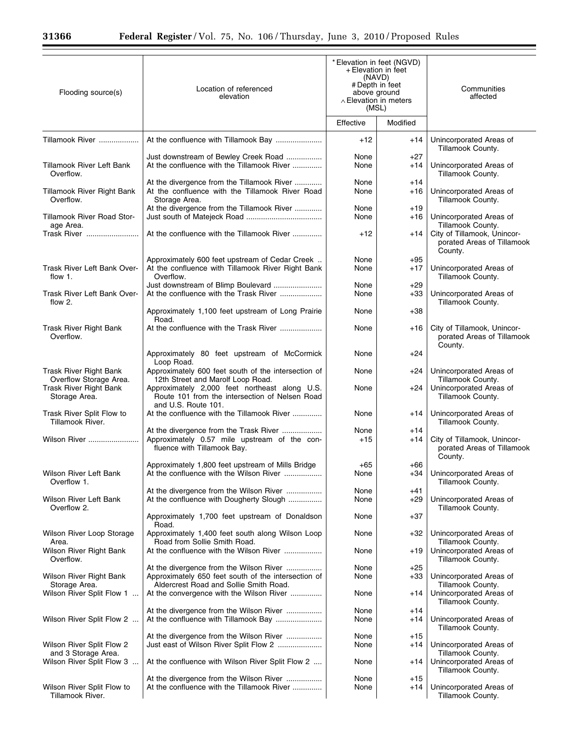$\equiv$ 

Ξ

| Flooding source(s)                                                    | Location of referenced<br>elevation                                                                                                       | * Elevation in feet (NGVD)<br>+ Elevation in feet<br>(NAVD)<br># Depth in feet<br>above ground<br>$\land$ Elevation in meters<br>(MSL) |                | Communities<br>affected                                                 |
|-----------------------------------------------------------------------|-------------------------------------------------------------------------------------------------------------------------------------------|----------------------------------------------------------------------------------------------------------------------------------------|----------------|-------------------------------------------------------------------------|
|                                                                       |                                                                                                                                           | Effective                                                                                                                              | Modified       |                                                                         |
| Tillamook River                                                       |                                                                                                                                           | $+12$                                                                                                                                  | $+14$          | Unincorporated Areas of<br>Tillamook County.                            |
| <b>Tillamook River Left Bank</b><br>Overflow.                         | Just downstream of Bewley Creek Road<br>At the confluence with the Tillamook River                                                        | None<br>None                                                                                                                           | $+27$<br>$+14$ | Unincorporated Areas of<br>Tillamook County.                            |
| Tillamook River Right Bank<br>Overflow.                               | At the divergence from the Tillamook River<br>At the confluence with the Tillamook River Road<br>Storage Area.                            | None<br>None                                                                                                                           | $+14$<br>+16   | Unincorporated Areas of<br>Tillamook County.                            |
| Tillamook River Road Stor-<br>age Area.                               | At the divergence from the Tillamook River                                                                                                | None<br>None                                                                                                                           | $+19$<br>$+16$ | Unincorporated Areas of<br>Tillamook County.                            |
| Trask River                                                           | At the confluence with the Tillamook River                                                                                                | $+12$                                                                                                                                  | $+14$          | City of Tillamook, Unincor-<br>porated Areas of Tillamook<br>County.    |
| Trask River Left Bank Over-<br>flow $1$ .                             | Approximately 600 feet upstream of Cedar Creek<br>At the confluence with Tillamook River Right Bank<br>Overflow.                          | None<br>None                                                                                                                           | $+95$<br>$+17$ | Unincorporated Areas of<br>Tillamook County.                            |
| Trask River Left Bank Over-<br>flow 2.                                | Just downstream of Blimp Boulevard<br>At the confluence with the Trask River                                                              | None<br>None                                                                                                                           | $+29$<br>+33   | Unincorporated Areas of<br>Tillamook County.                            |
|                                                                       | Approximately 1,100 feet upstream of Long Prairie<br>Road.                                                                                | None                                                                                                                                   | $+38$          |                                                                         |
| Trask River Right Bank<br>Overflow.                                   |                                                                                                                                           | None                                                                                                                                   | +16            | City of Tillamook, Unincor-<br>porated Areas of Tillamook<br>County.    |
|                                                                       | Approximately 80 feet upstream of McCormick<br>Loop Road.                                                                                 | None                                                                                                                                   | +24            |                                                                         |
| Trask River Right Bank<br>Overflow Storage Area.                      | Approximately 600 feet south of the intersection of<br>12th Street and Marolf Loop Road.                                                  | None                                                                                                                                   | +24            | Unincorporated Areas of<br>Tillamook County.                            |
| <b>Trask River Right Bank</b><br>Storage Area.                        | Approximately 2,000 feet northeast along U.S.<br>Route 101 from the intersection of Nelsen Road<br>and U.S. Route 101.                    | None                                                                                                                                   | $+24$          | Unincorporated Areas of<br>Tillamook County.                            |
| Trask River Split Flow to<br>Tillamook River.                         | At the confluence with the Tillamook River                                                                                                | None                                                                                                                                   | +14            | Unincorporated Areas of<br>Tillamook County.                            |
| Wilson River                                                          | At the divergence from the Trask River<br>Approximately 0.57 mile upstream of the con-<br>fluence with Tillamook Bay.                     | None<br>$+15$                                                                                                                          | $+14$<br>$+14$ | City of Tillamook, Unincor-<br>porated Areas of Tillamook               |
| Wilson River Left Bank<br>Overflow 1.                                 | Approximately 1,800 feet upstream of Mills Bridge<br>At the confluence with the Wilson River                                              | $+65$<br>None                                                                                                                          | +66<br>$+34$   | County.<br>Unincorporated Areas of<br>Tillamook County.                 |
| Wilson River Left Bank                                                | At the divergence from the Wilson River<br>At the confluence with Dougherty Slough                                                        | None<br>None                                                                                                                           | $+41$<br>$+29$ | Unincorporated Areas of                                                 |
| Overflow 2.                                                           | Approximately 1,700 feet upstream of Donaldson<br>Road.                                                                                   | None                                                                                                                                   | $+37$          | Tillamook County.                                                       |
| Wilson River Loop Storage<br>Area.                                    | Approximately 1,400 feet south along Wilson Loop<br>Road from Sollie Smith Road.                                                          | None                                                                                                                                   | $+32$          | Unincorporated Areas of<br>Tillamook County.                            |
| Wilson River Right Bank<br>Overflow.                                  | At the confluence with the Wilson River<br>At the divergence from the Wilson River                                                        | None<br>None                                                                                                                           | $+19$<br>$+25$ | Unincorporated Areas of<br>Tillamook County.                            |
| Wilson River Right Bank<br>Storage Area.<br>Wilson River Split Flow 1 | Approximately 650 feet south of the intersection of<br>Aldercrest Road and Sollie Smith Road.<br>At the convergence with the Wilson River | None<br>None                                                                                                                           | $+33$<br>$+14$ | Unincorporated Areas of<br>Tillamook County.<br>Unincorporated Areas of |
|                                                                       | At the divergence from the Wilson River                                                                                                   | None                                                                                                                                   | +14            | Tillamook County.                                                       |
| Wilson River Split Flow 2                                             | At the divergence from the Wilson River                                                                                                   | None<br>None                                                                                                                           | +14<br>+15     | Unincorporated Areas of<br>Tillamook County.                            |
| Wilson River Split Flow 2<br>and 3 Storage Area.                      | Just east of Wilson River Split Flow 2                                                                                                    | None                                                                                                                                   | $+14$          | Unincorporated Areas of<br>Tillamook County.                            |
| Wilson River Split Flow 3                                             | At the confluence with Wilson River Split Flow 2                                                                                          | None                                                                                                                                   | $+14$          | Unincorporated Areas of<br>Tillamook County.                            |
| Wilson River Split Flow to<br>Tillamook River.                        | At the divergence from the Wilson River<br>At the confluence with the Tillamook River                                                     | None<br>None                                                                                                                           | +15<br>+14     | Unincorporated Areas of<br>Tillamook County.                            |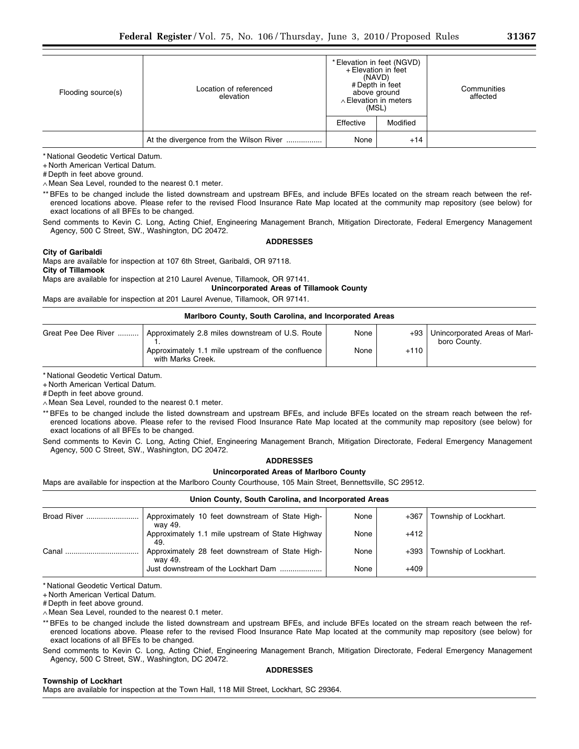| Flooding source(s) | Location of referenced<br>elevation     |           | * Elevation in feet (NGVD)<br>+ Elevation in feet<br>(NAVD)<br># Depth in feet<br>above ground<br>$\land$ Elevation in meters<br>(MSL) | Communities<br>affected |
|--------------------|-----------------------------------------|-----------|----------------------------------------------------------------------------------------------------------------------------------------|-------------------------|
|                    |                                         | Effective | Modified                                                                                                                               |                         |
|                    | At the divergence from the Wilson River | None      | $+14$                                                                                                                                  |                         |

+ North American Vertical Datum.

# Depth in feet above ground.

∧ Mean Sea Level, rounded to the nearest 0.1 meter.

\*\* BFEs to be changed include the listed downstream and upstream BFEs, and include BFEs located on the stream reach between the referenced locations above. Please refer to the revised Flood Insurance Rate Map located at the community map repository (see below) for exact locations of all BFEs to be changed.

Send comments to Kevin C. Long, Acting Chief, Engineering Management Branch, Mitigation Directorate, Federal Emergency Management Agency, 500 C Street, SW., Washington, DC 20472.

### **ADDRESSES**

### **City of Garibaldi**

Maps are available for inspection at 107 6th Street, Garibaldi, OR 97118. **City of Tillamook** 

Maps are available for inspection at 210 Laurel Avenue, Tillamook, OR 97141.

**Unincorporated Areas of Tillamook County** 

Maps are available for inspection at 201 Laurel Avenue, Tillamook, OR 97141.

### **Marlboro County, South Carolina, and Incorporated Areas**

| Great Pee Dee River | Approximately 2.8 miles downstream of U.S. Route                       | None |        | +93 Unincorporated Areas of Marl-<br>boro County. |
|---------------------|------------------------------------------------------------------------|------|--------|---------------------------------------------------|
|                     | Approximately 1.1 mile upstream of the confluence<br>with Marks Creek. | None | $+110$ |                                                   |

\* National Geodetic Vertical Datum.

+ North American Vertical Datum.

# Depth in feet above ground.

∧ Mean Sea Level, rounded to the nearest 0.1 meter.

\*\* BFEs to be changed include the listed downstream and upstream BFEs, and include BFEs located on the stream reach between the referenced locations above. Please refer to the revised Flood Insurance Rate Map located at the community map repository (see below) for exact locations of all BFEs to be changed.

Send comments to Kevin C. Long, Acting Chief, Engineering Management Branch, Mitigation Directorate, Federal Emergency Management Agency, 500 C Street, SW., Washington, DC 20472.

### **ADDRESSES**

# **Unincorporated Areas of Marlboro County**

Maps are available for inspection at the Marlboro County Courthouse, 105 Main Street, Bennettsville, SC 29512.

| Union County, South Carolina, and Incorporated Areas |                                                            |      |        |                       |
|------------------------------------------------------|------------------------------------------------------------|------|--------|-----------------------|
| Broad River                                          | Approximately 10 feet downstream of State High-<br>wav 49. | None | $+367$ | Township of Lockhart. |
|                                                      | Approximately 1.1 mile upstream of State Highway<br>49.    | None | $+412$ |                       |
| Canal                                                | Approximately 28 feet downstream of State High-<br>wav 49. | None | $+393$ | Township of Lockhart. |
|                                                      | Just downstream of the Lockhart Dam                        | None | $+409$ |                       |

\* National Geodetic Vertical Datum.

+ North American Vertical Datum.

# Depth in feet above ground.

∧ Mean Sea Level, rounded to the nearest 0.1 meter.

\*\* BFEs to be changed include the listed downstream and upstream BFEs, and include BFEs located on the stream reach between the referenced locations above. Please refer to the revised Flood Insurance Rate Map located at the community map repository (see below) for exact locations of all BFEs to be changed.

Send comments to Kevin C. Long, Acting Chief, Engineering Management Branch, Mitigation Directorate, Federal Emergency Management Agency, 500 C Street, SW., Washington, DC 20472.

### **Township of Lockhart**

**ADDRESSES** 

Maps are available for inspection at the Town Hall, 118 Mill Street, Lockhart, SC 29364.